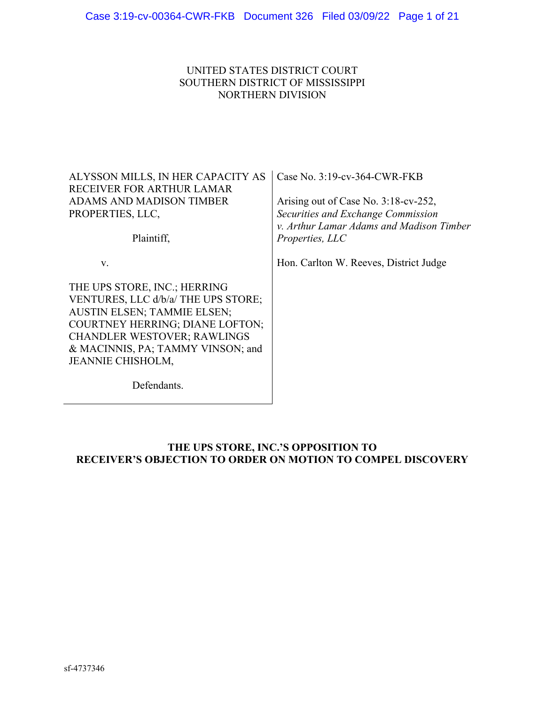## UNITED STATES DISTRICT COURT SOUTHERN DISTRICT OF MISSISSIPPI NORTHERN DIVISION

ALYSSON MILLS, IN HER CAPACITY AS RECEIVER FOR ARTHUR LAMAR ADAMS AND MADISON TIMBER PROPERTIES, LLC,

Plaintiff,

v.

THE UPS STORE, INC.; HERRING VENTURES, LLC d/b/a/ THE UPS STORE; AUSTIN ELSEN; TAMMIE ELSEN; COURTNEY HERRING; DIANE LOFTON; CHANDLER WESTOVER; RAWLINGS & MACINNIS, PA; TAMMY VINSON; and JEANNIE CHISHOLM,

Defendants.

Case No. 3:19-cv-364-CWR-FKB

Arising out of Case No. 3:18-cv-252, *Securities and Exchange Commission v. Arthur Lamar Adams and Madison Timber Properties, LLC* 

Hon. Carlton W. Reeves, District Judge

## **THE UPS STORE, INC.'S OPPOSITION TO RECEIVER'S OBJECTION TO ORDER ON MOTION TO COMPEL DISCOVERY**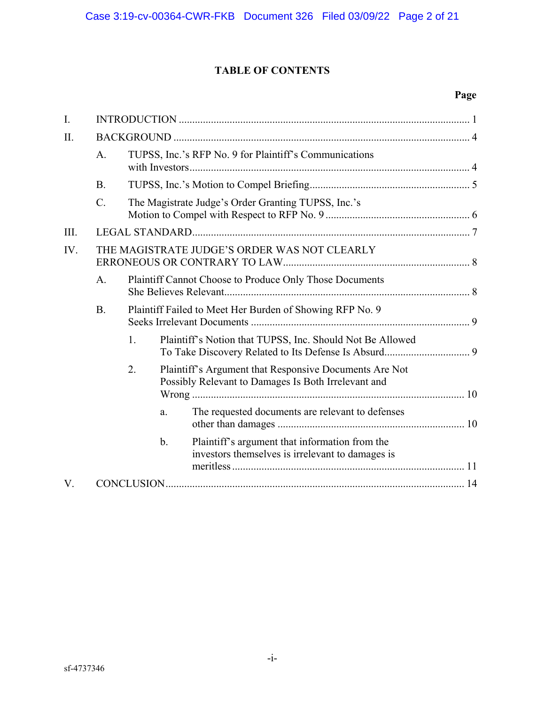# **TABLE OF CONTENTS**

# **Page**

| $\mathbf{I}$ . |                                              |                                                         |                                                                                                               |                                                                                                    |  |  |
|----------------|----------------------------------------------|---------------------------------------------------------|---------------------------------------------------------------------------------------------------------------|----------------------------------------------------------------------------------------------------|--|--|
| II.            |                                              |                                                         |                                                                                                               |                                                                                                    |  |  |
|                | A.                                           |                                                         |                                                                                                               | TUPSS, Inc.'s RFP No. 9 for Plaintiff's Communications                                             |  |  |
|                | <b>B.</b>                                    |                                                         |                                                                                                               |                                                                                                    |  |  |
|                | $\mathcal{C}$ .                              | The Magistrate Judge's Order Granting TUPSS, Inc.'s     |                                                                                                               |                                                                                                    |  |  |
| III.           |                                              |                                                         |                                                                                                               |                                                                                                    |  |  |
| IV.            | THE MAGISTRATE JUDGE'S ORDER WAS NOT CLEARLY |                                                         |                                                                                                               |                                                                                                    |  |  |
|                | A.                                           | Plaintiff Cannot Choose to Produce Only Those Documents |                                                                                                               |                                                                                                    |  |  |
|                | <b>B.</b>                                    |                                                         | Plaintiff Failed to Meet Her Burden of Showing RFP No. 9                                                      |                                                                                                    |  |  |
|                |                                              | 1.                                                      |                                                                                                               | Plaintiff's Notion that TUPSS, Inc. Should Not Be Allowed                                          |  |  |
|                |                                              | 2.                                                      | Plaintiff's Argument that Responsive Documents Are Not<br>Possibly Relevant to Damages Is Both Irrelevant and |                                                                                                    |  |  |
|                |                                              |                                                         | a.                                                                                                            | The requested documents are relevant to defenses                                                   |  |  |
|                |                                              |                                                         | $\mathbf b$ .                                                                                                 | Plaintiff's argument that information from the<br>investors themselves is irrelevant to damages is |  |  |
| V.             |                                              |                                                         |                                                                                                               |                                                                                                    |  |  |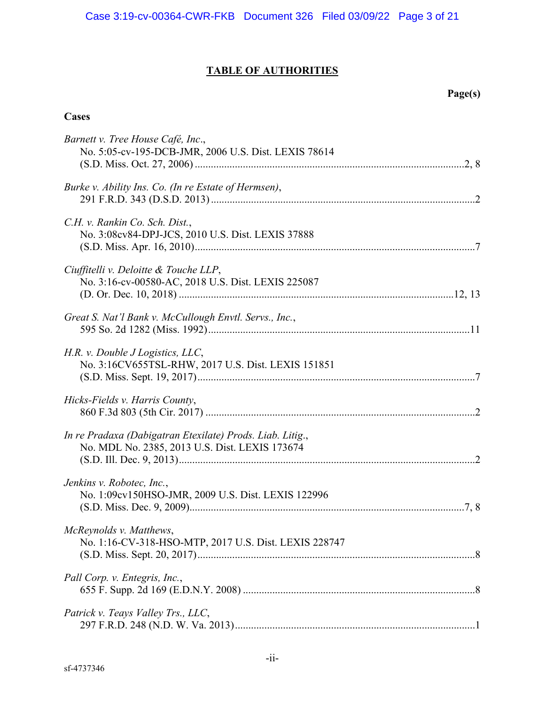# **TABLE OF AUTHORITIES**

# **Page(s)**

# **Cases**

| Barnett v. Tree House Café, Inc.,<br>No. 5:05-cv-195-DCB-JMR, 2006 U.S. Dist. LEXIS 78614                   |
|-------------------------------------------------------------------------------------------------------------|
| Burke v. Ability Ins. Co. (In re Estate of Hermsen),                                                        |
| C.H. v. Rankin Co. Sch. Dist.,<br>No. 3:08cv84-DPJ-JCS, 2010 U.S. Dist. LEXIS 37888                         |
| Ciuffitelli v. Deloitte & Touche LLP,<br>No. 3:16-cv-00580-AC, 2018 U.S. Dist. LEXIS 225087                 |
| Great S. Nat'l Bank v. McCullough Envtl. Servs., Inc.,                                                      |
| H.R. v. Double JLogistics, LLC,<br>No. 3:16CV655TSL-RHW, 2017 U.S. Dist. LEXIS 151851                       |
| Hicks-Fields v. Harris County,                                                                              |
| In re Pradaxa (Dabigatran Etexilate) Prods. Liab. Litig.,<br>No. MDL No. 2385, 2013 U.S. Dist. LEXIS 173674 |
| Jenkins v. Robotec, Inc.,<br>No. 1:09cv150HSO-JMR, 2009 U.S. Dist. LEXIS 122996                             |
| McReynolds v. Matthews,<br>No. 1:16-CV-318-HSO-MTP, 2017 U.S. Dist. LEXIS 228747                            |
| Pall Corp. v. Entegris, Inc.,                                                                               |
| Patrick v. Teays Valley Trs., LLC,                                                                          |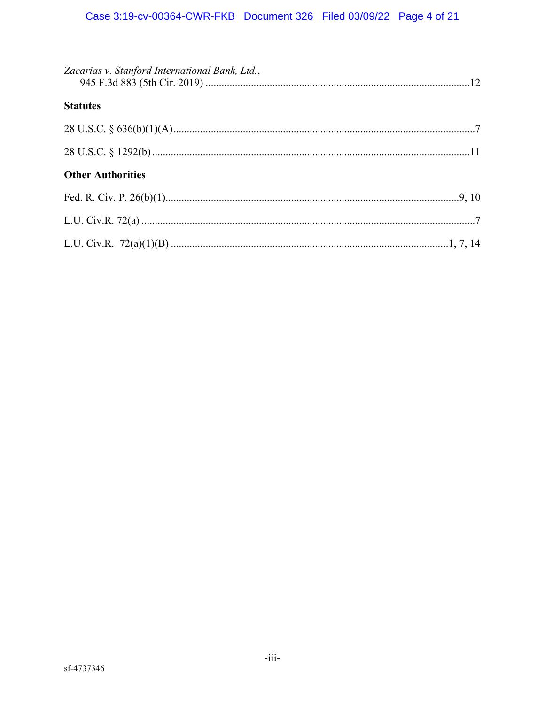| Zacarias v. Stanford International Bank, Ltd., |  |
|------------------------------------------------|--|
| <b>Statutes</b>                                |  |
|                                                |  |
|                                                |  |
| <b>Other Authorities</b>                       |  |
|                                                |  |
|                                                |  |
|                                                |  |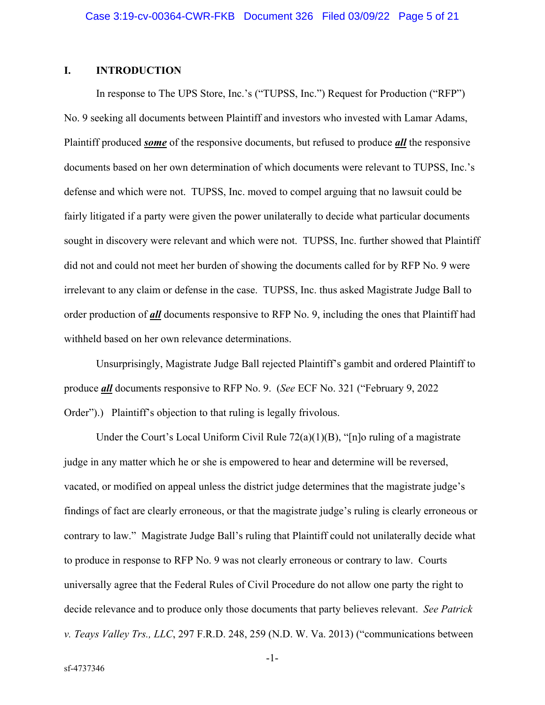## **I. INTRODUCTION**

In response to The UPS Store, Inc.'s ("TUPSS, Inc.") Request for Production ("RFP") No. 9 seeking all documents between Plaintiff and investors who invested with Lamar Adams, Plaintiff produced *some* of the responsive documents, but refused to produce *all* the responsive documents based on her own determination of which documents were relevant to TUPSS, Inc.'s defense and which were not. TUPSS, Inc. moved to compel arguing that no lawsuit could be fairly litigated if a party were given the power unilaterally to decide what particular documents sought in discovery were relevant and which were not. TUPSS, Inc. further showed that Plaintiff did not and could not meet her burden of showing the documents called for by RFP No. 9 were irrelevant to any claim or defense in the case. TUPSS, Inc. thus asked Magistrate Judge Ball to order production of *all* documents responsive to RFP No. 9, including the ones that Plaintiff had withheld based on her own relevance determinations.

Unsurprisingly, Magistrate Judge Ball rejected Plaintiff's gambit and ordered Plaintiff to produce *all* documents responsive to RFP No. 9. (*See* ECF No. 321 ("February 9, 2022 Order").) Plaintiff's objection to that ruling is legally frivolous.

Under the Court's Local Uniform Civil Rule  $72(a)(1)(B)$ , "[n]o ruling of a magistrate judge in any matter which he or she is empowered to hear and determine will be reversed, vacated, or modified on appeal unless the district judge determines that the magistrate judge's findings of fact are clearly erroneous, or that the magistrate judge's ruling is clearly erroneous or contrary to law." Magistrate Judge Ball's ruling that Plaintiff could not unilaterally decide what to produce in response to RFP No. 9 was not clearly erroneous or contrary to law. Courts universally agree that the Federal Rules of Civil Procedure do not allow one party the right to decide relevance and to produce only those documents that party believes relevant. *See Patrick v. Teays Valley Trs., LLC*, 297 F.R.D. 248, 259 (N.D. W. Va. 2013) ("communications between

-1-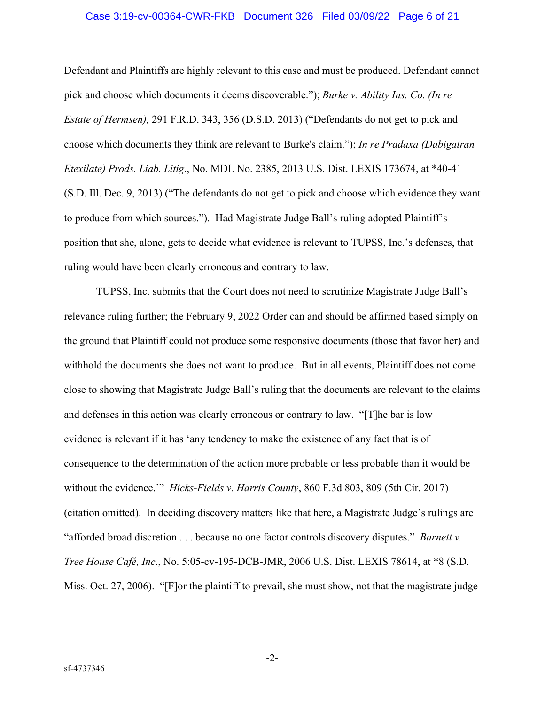#### Case 3:19-cv-00364-CWR-FKB Document 326 Filed 03/09/22 Page 6 of 21

Defendant and Plaintiffs are highly relevant to this case and must be produced. Defendant cannot pick and choose which documents it deems discoverable."); *Burke v. Ability Ins. Co. (In re Estate of Hermsen),* 291 F.R.D. 343, 356 (D.S.D. 2013) ("Defendants do not get to pick and choose which documents they think are relevant to Burke's claim."); *In re Pradaxa (Dabigatran Etexilate) Prods. Liab. Litig*., No. MDL No. 2385, 2013 U.S. Dist. LEXIS 173674, at \*40-41 (S.D. Ill. Dec. 9, 2013) ("The defendants do not get to pick and choose which evidence they want to produce from which sources."). Had Magistrate Judge Ball's ruling adopted Plaintiff's position that she, alone, gets to decide what evidence is relevant to TUPSS, Inc.'s defenses, that ruling would have been clearly erroneous and contrary to law.

TUPSS, Inc. submits that the Court does not need to scrutinize Magistrate Judge Ball's relevance ruling further; the February 9, 2022 Order can and should be affirmed based simply on the ground that Plaintiff could not produce some responsive documents (those that favor her) and withhold the documents she does not want to produce. But in all events, Plaintiff does not come close to showing that Magistrate Judge Ball's ruling that the documents are relevant to the claims and defenses in this action was clearly erroneous or contrary to law. "[T]he bar is low evidence is relevant if it has 'any tendency to make the existence of any fact that is of consequence to the determination of the action more probable or less probable than it would be without the evidence.'" *Hicks-Fields v. Harris County*, 860 F.3d 803, 809 (5th Cir. 2017) (citation omitted). In deciding discovery matters like that here, a Magistrate Judge's rulings are "afforded broad discretion . . . because no one factor controls discovery disputes." *Barnett v. Tree House Café, Inc*., No. 5:05-cv-195-DCB-JMR, 2006 U.S. Dist. LEXIS 78614, at \*8 (S.D. Miss. Oct. 27, 2006). "[F]or the plaintiff to prevail, she must show, not that the magistrate judge

-2-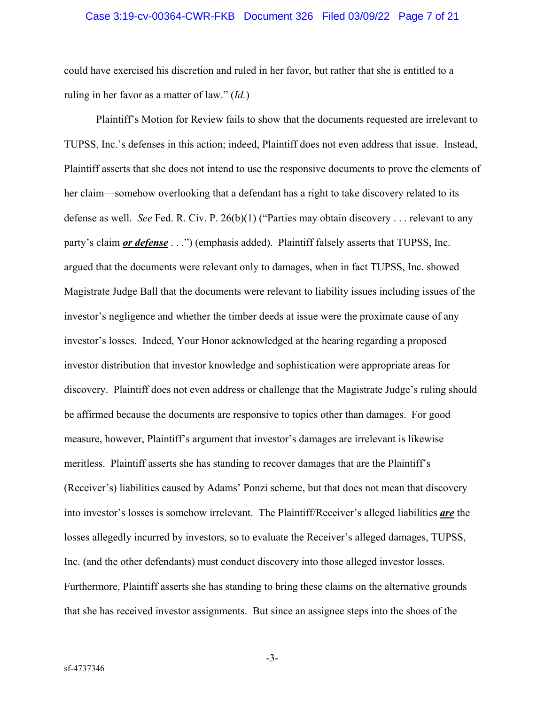#### Case 3:19-cv-00364-CWR-FKB Document 326 Filed 03/09/22 Page 7 of 21

could have exercised his discretion and ruled in her favor, but rather that she is entitled to a ruling in her favor as a matter of law." (*Id.*)

Plaintiff's Motion for Review fails to show that the documents requested are irrelevant to TUPSS, Inc.'s defenses in this action; indeed, Plaintiff does not even address that issue. Instead, Plaintiff asserts that she does not intend to use the responsive documents to prove the elements of her claim—somehow overlooking that a defendant has a right to take discovery related to its defense as well. *See* Fed. R. Civ. P. 26(b)(1) ("Parties may obtain discovery . . . relevant to any party's claim *or defense* . . .") (emphasis added). Plaintiff falsely asserts that TUPSS, Inc. argued that the documents were relevant only to damages, when in fact TUPSS, Inc. showed Magistrate Judge Ball that the documents were relevant to liability issues including issues of the investor's negligence and whether the timber deeds at issue were the proximate cause of any investor's losses. Indeed, Your Honor acknowledged at the hearing regarding a proposed investor distribution that investor knowledge and sophistication were appropriate areas for discovery. Plaintiff does not even address or challenge that the Magistrate Judge's ruling should be affirmed because the documents are responsive to topics other than damages. For good measure, however, Plaintiff's argument that investor's damages are irrelevant is likewise meritless. Plaintiff asserts she has standing to recover damages that are the Plaintiff's (Receiver's) liabilities caused by Adams' Ponzi scheme, but that does not mean that discovery into investor's losses is somehow irrelevant. The Plaintiff/Receiver's alleged liabilities *are* the losses allegedly incurred by investors, so to evaluate the Receiver's alleged damages, TUPSS, Inc. (and the other defendants) must conduct discovery into those alleged investor losses. Furthermore, Plaintiff asserts she has standing to bring these claims on the alternative grounds that she has received investor assignments. But since an assignee steps into the shoes of the

-3-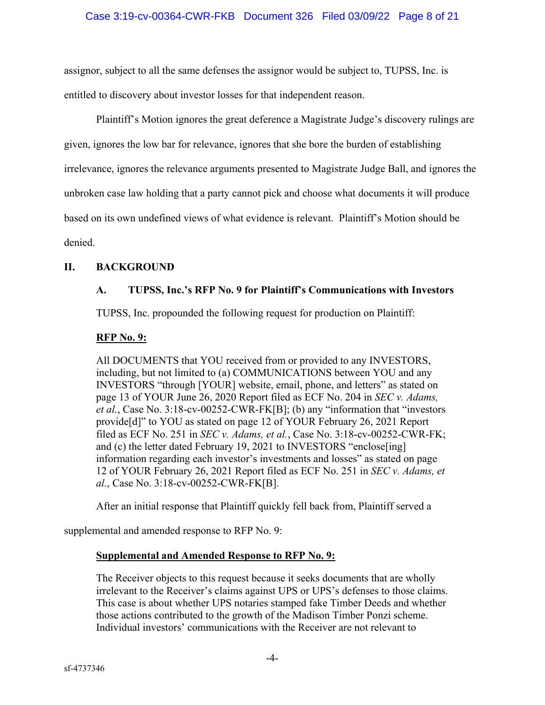assignor, subject to all the same defenses the assignor would be subject to, TUPSS, Inc. is entitled to discovery about investor losses for that independent reason.

Plaintiff's Motion ignores the great deference a Magistrate Judge's discovery rulings are given, ignores the low bar for relevance, ignores that she bore the burden of establishing irrelevance, ignores the relevance arguments presented to Magistrate Judge Ball, and ignores the unbroken case law holding that a party cannot pick and choose what documents it will produce based on its own undefined views of what evidence is relevant. Plaintiff's Motion should be denied.

## **II. BACKGROUND**

# **A. TUPSS, Inc.'s RFP No. 9 for Plaintiff's Communications with Investors**

TUPSS, Inc. propounded the following request for production on Plaintiff:

## **RFP No. 9:**

All DOCUMENTS that YOU received from or provided to any INVESTORS, including, but not limited to (a) COMMUNICATIONS between YOU and any INVESTORS "through [YOUR] website, email, phone, and letters" as stated on page 13 of YOUR June 26, 2020 Report filed as ECF No. 204 in *SEC v. Adams, et al.*, Case No. 3:18-cv-00252-CWR-FK[B]; (b) any "information that "investors provide[d]" to YOU as stated on page 12 of YOUR February 26, 2021 Report filed as ECF No. 251 in *SEC v. Adams, et al.*, Case No. 3:18-cv-00252-CWR-FK; and (c) the letter dated February 19, 2021 to INVESTORS "enclose[ing] information regarding each investor's investments and losses" as stated on page 12 of YOUR February 26, 2021 Report filed as ECF No. 251 in *SEC v. Adams, et al.*, Case No. 3:18-cv-00252-CWR-FK[B].

After an initial response that Plaintiff quickly fell back from, Plaintiff served a

supplemental and amended response to RFP No. 9:

## **Supplemental and Amended Response to RFP No. 9:**

The Receiver objects to this request because it seeks documents that are wholly irrelevant to the Receiver's claims against UPS or UPS's defenses to those claims. This case is about whether UPS notaries stamped fake Timber Deeds and whether those actions contributed to the growth of the Madison Timber Ponzi scheme. Individual investors' communications with the Receiver are not relevant to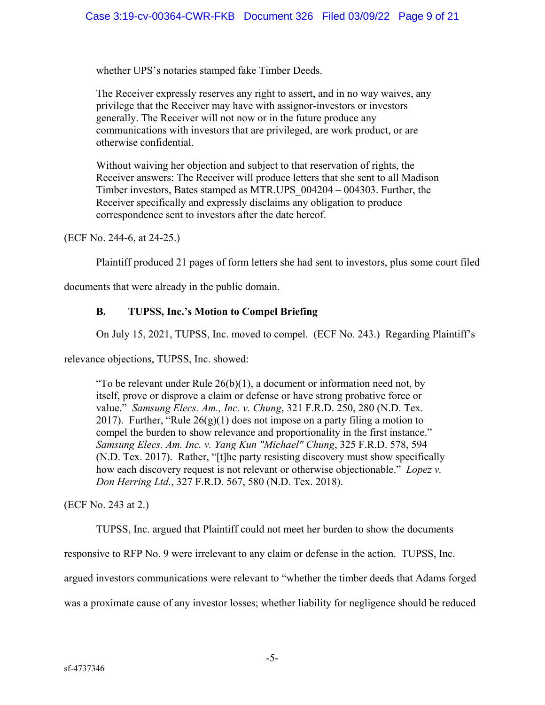whether UPS's notaries stamped fake Timber Deeds.

The Receiver expressly reserves any right to assert, and in no way waives, any privilege that the Receiver may have with assignor-investors or investors generally. The Receiver will not now or in the future produce any communications with investors that are privileged, are work product, or are otherwise confidential.

Without waiving her objection and subject to that reservation of rights, the Receiver answers: The Receiver will produce letters that she sent to all Madison Timber investors, Bates stamped as MTR.UPS\_004204 – 004303. Further, the Receiver specifically and expressly disclaims any obligation to produce correspondence sent to investors after the date hereof.

(ECF No. 244-6, at 24-25.)

Plaintiff produced 21 pages of form letters she had sent to investors, plus some court filed

documents that were already in the public domain.

## **B. TUPSS, Inc.'s Motion to Compel Briefing**

On July 15, 2021, TUPSS, Inc. moved to compel. (ECF No. 243.) Regarding Plaintiff's

relevance objections, TUPSS, Inc. showed:

"To be relevant under Rule  $26(b)(1)$ , a document or information need not, by itself, prove or disprove a claim or defense or have strong probative force or value." *Samsung Elecs. Am., Inc. v. Chung*, 321 F.R.D. 250, 280 (N.D. Tex. 2017). Further, "Rule  $26(g)(1)$  does not impose on a party filing a motion to compel the burden to show relevance and proportionality in the first instance." *Samsung Elecs. Am. Inc. v. Yang Kun "Michael" Chung*, 325 F.R.D. 578, 594 (N.D. Tex. 2017). Rather, "[t]he party resisting discovery must show specifically how each discovery request is not relevant or otherwise objectionable." *Lopez v. Don Herring Ltd.*, 327 F.R.D. 567, 580 (N.D. Tex. 2018).

(ECF No. 243 at 2.)

TUPSS, Inc. argued that Plaintiff could not meet her burden to show the documents

responsive to RFP No. 9 were irrelevant to any claim or defense in the action. TUPSS, Inc.

argued investors communications were relevant to "whether the timber deeds that Adams forged

was a proximate cause of any investor losses; whether liability for negligence should be reduced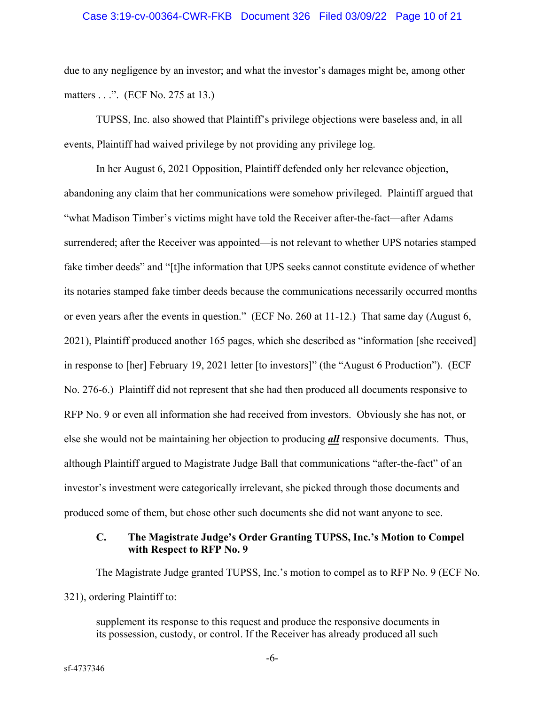#### Case 3:19-cv-00364-CWR-FKB Document 326 Filed 03/09/22 Page 10 of 21

due to any negligence by an investor; and what the investor's damages might be, among other matters . . .". (ECF No. 275 at 13.)

TUPSS, Inc. also showed that Plaintiff's privilege objections were baseless and, in all events, Plaintiff had waived privilege by not providing any privilege log.

In her August 6, 2021 Opposition, Plaintiff defended only her relevance objection, abandoning any claim that her communications were somehow privileged. Plaintiff argued that "what Madison Timber's victims might have told the Receiver after-the-fact—after Adams surrendered; after the Receiver was appointed—is not relevant to whether UPS notaries stamped fake timber deeds" and "[t]he information that UPS seeks cannot constitute evidence of whether its notaries stamped fake timber deeds because the communications necessarily occurred months or even years after the events in question." (ECF No. 260 at 11-12.) That same day (August 6, 2021), Plaintiff produced another 165 pages, which she described as "information [she received] in response to [her] February 19, 2021 letter [to investors]" (the "August 6 Production"). (ECF No. 276-6.) Plaintiff did not represent that she had then produced all documents responsive to RFP No. 9 or even all information she had received from investors. Obviously she has not, or else she would not be maintaining her objection to producing *all* responsive documents. Thus, although Plaintiff argued to Magistrate Judge Ball that communications "after-the-fact" of an investor's investment were categorically irrelevant, she picked through those documents and produced some of them, but chose other such documents she did not want anyone to see.

### **C. The Magistrate Judge's Order Granting TUPSS, Inc.'s Motion to Compel with Respect to RFP No. 9**

The Magistrate Judge granted TUPSS, Inc.'s motion to compel as to RFP No. 9 (ECF No. 321), ordering Plaintiff to:

supplement its response to this request and produce the responsive documents in its possession, custody, or control. If the Receiver has already produced all such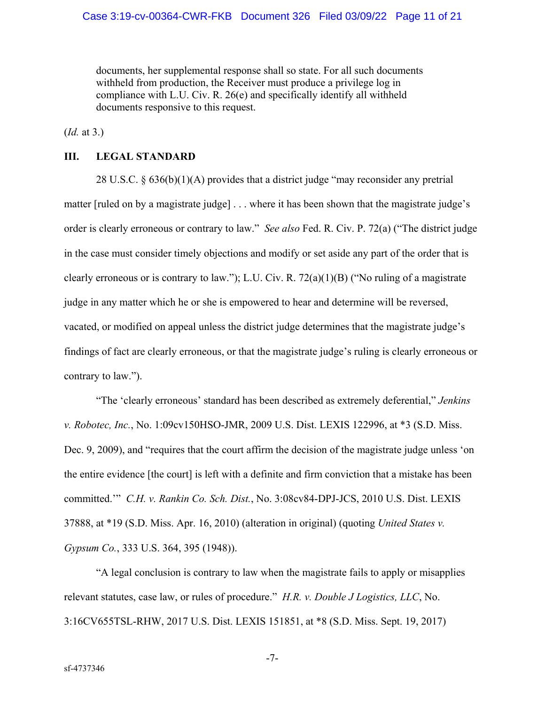documents, her supplemental response shall so state. For all such documents withheld from production, the Receiver must produce a privilege log in compliance with L.U. Civ. R. 26(e) and specifically identify all withheld documents responsive to this request.

(*Id.* at 3.)

## **III. LEGAL STANDARD**

28 U.S.C. § 636(b)(1)(A) provides that a district judge "may reconsider any pretrial matter [ruled on by a magistrate judge] . . . where it has been shown that the magistrate judge's order is clearly erroneous or contrary to law." *See also* Fed. R. Civ. P. 72(a) ("The district judge in the case must consider timely objections and modify or set aside any part of the order that is clearly erroneous or is contrary to law."); L.U. Civ. R. 72(a)(1)(B) ("No ruling of a magistrate judge in any matter which he or she is empowered to hear and determine will be reversed, vacated, or modified on appeal unless the district judge determines that the magistrate judge's findings of fact are clearly erroneous, or that the magistrate judge's ruling is clearly erroneous or contrary to law.").

"The 'clearly erroneous' standard has been described as extremely deferential," *Jenkins v. Robotec, Inc.*, No. 1:09cv150HSO-JMR, 2009 U.S. Dist. LEXIS 122996, at \*3 (S.D. Miss. Dec. 9, 2009), and "requires that the court affirm the decision of the magistrate judge unless 'on the entire evidence [the court] is left with a definite and firm conviction that a mistake has been committed.'" *C.H. v. Rankin Co. Sch. Dist.*, No. 3:08cv84-DPJ-JCS, 2010 U.S. Dist. LEXIS 37888, at \*19 (S.D. Miss. Apr. 16, 2010) (alteration in original) (quoting *United States v. Gypsum Co.*, 333 U.S. 364, 395 (1948)).

"A legal conclusion is contrary to law when the magistrate fails to apply or misapplies relevant statutes, case law, or rules of procedure." *H.R. v. Double J Logistics, LLC*, No. 3:16CV655TSL-RHW, 2017 U.S. Dist. LEXIS 151851, at \*8 (S.D. Miss. Sept. 19, 2017)

-7-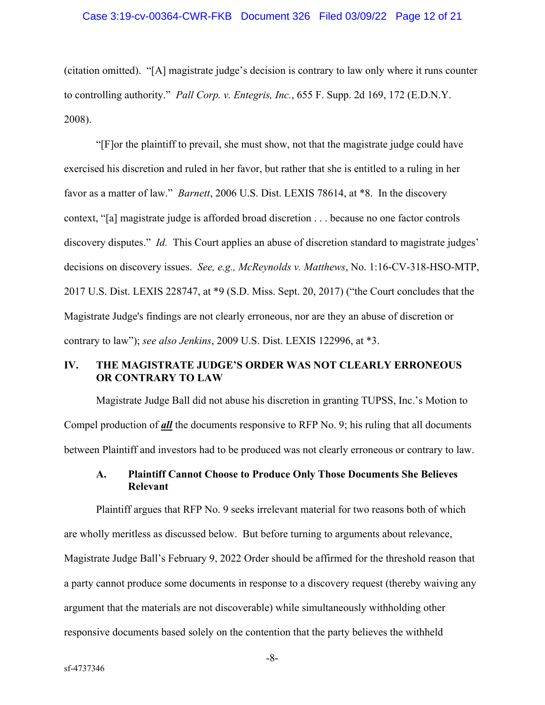(citation omitted). "[A] magistrate judge's decision is contrary to law only where it runs counter to controlling authority." *Pall Corp. v. Entegris, Inc.*, 655 F. Supp. 2d 169, 172 (E.D.N.Y. 2008).

"[F]or the plaintiff to prevail, she must show, not that the magistrate judge could have exercised his discretion and ruled in her favor, but rather that she is entitled to a ruling in her favor as a matter of law." *Barnett*, 2006 U.S. Dist. LEXIS 78614, at \*8. In the discovery context, "[a] magistrate judge is afforded broad discretion . . . because no one factor controls discovery disputes." *Id.* This Court applies an abuse of discretion standard to magistrate judges' decisions on discovery issues. *See, e.g., McReynolds v. Matthews*, No. 1:16-CV-318-HSO-MTP, 2017 U.S. Dist. LEXIS 228747, at \*9 (S.D. Miss. Sept. 20, 2017) ("the Court concludes that the Magistrate Judge's findings are not clearly erroneous, nor are they an abuse of discretion or contrary to law"); *see also Jenkins*, 2009 U.S. Dist. LEXIS 122996, at \*3.

### **IV. THE MAGISTRATE JUDGE'S ORDER WAS NOT CLEARLY ERRONEOUS OR CONTRARY TO LAW**

Magistrate Judge Ball did not abuse his discretion in granting TUPSS, Inc.'s Motion to Compel production of *all* the documents responsive to RFP No. 9; his ruling that all documents between Plaintiff and investors had to be produced was not clearly erroneous or contrary to law.

### **A. Plaintiff Cannot Choose to Produce Only Those Documents She Believes Relevant**

Plaintiff argues that RFP No. 9 seeks irrelevant material for two reasons both of which are wholly meritless as discussed below. But before turning to arguments about relevance, Magistrate Judge Ball's February 9, 2022 Order should be affirmed for the threshold reason that a party cannot produce some documents in response to a discovery request (thereby waiving any argument that the materials are not discoverable) while simultaneously withholding other responsive documents based solely on the contention that the party believes the withheld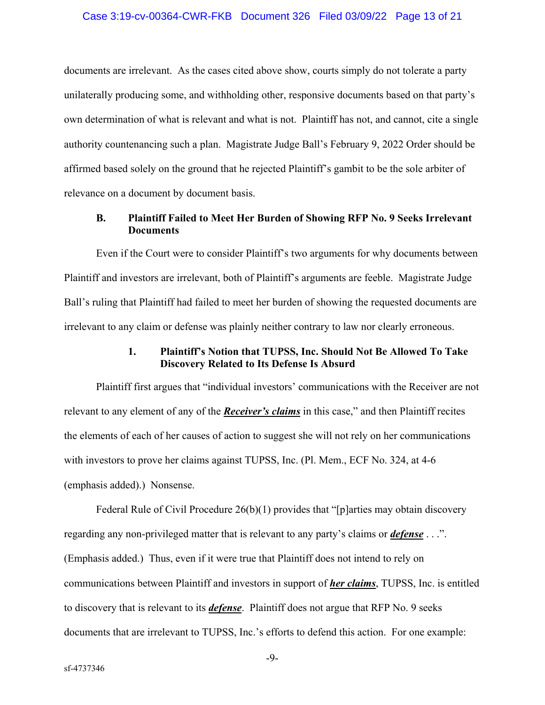#### Case 3:19-cv-00364-CWR-FKB Document 326 Filed 03/09/22 Page 13 of 21

documents are irrelevant. As the cases cited above show, courts simply do not tolerate a party unilaterally producing some, and withholding other, responsive documents based on that party's own determination of what is relevant and what is not. Plaintiff has not, and cannot, cite a single authority countenancing such a plan. Magistrate Judge Ball's February 9, 2022 Order should be affirmed based solely on the ground that he rejected Plaintiff's gambit to be the sole arbiter of relevance on a document by document basis.

### **B. Plaintiff Failed to Meet Her Burden of Showing RFP No. 9 Seeks Irrelevant Documents**

Even if the Court were to consider Plaintiff's two arguments for why documents between Plaintiff and investors are irrelevant, both of Plaintiff's arguments are feeble. Magistrate Judge Ball's ruling that Plaintiff had failed to meet her burden of showing the requested documents are irrelevant to any claim or defense was plainly neither contrary to law nor clearly erroneous.

## **1. Plaintiff's Notion that TUPSS, Inc. Should Not Be Allowed To Take Discovery Related to Its Defense Is Absurd**

Plaintiff first argues that "individual investors' communications with the Receiver are not relevant to any element of any of the *Receiver's claims* in this case," and then Plaintiff recites the elements of each of her causes of action to suggest she will not rely on her communications with investors to prove her claims against TUPSS, Inc. (Pl. Mem., ECF No. 324, at 4-6 (emphasis added).) Nonsense.

Federal Rule of Civil Procedure 26(b)(1) provides that "[p]arties may obtain discovery regarding any non-privileged matter that is relevant to any party's claims or *defense* . . .". (Emphasis added.) Thus, even if it were true that Plaintiff does not intend to rely on communications between Plaintiff and investors in support of *her claims*, TUPSS, Inc. is entitled to discovery that is relevant to its *defense*. Plaintiff does not argue that RFP No. 9 seeks documents that are irrelevant to TUPSS, Inc.'s efforts to defend this action. For one example: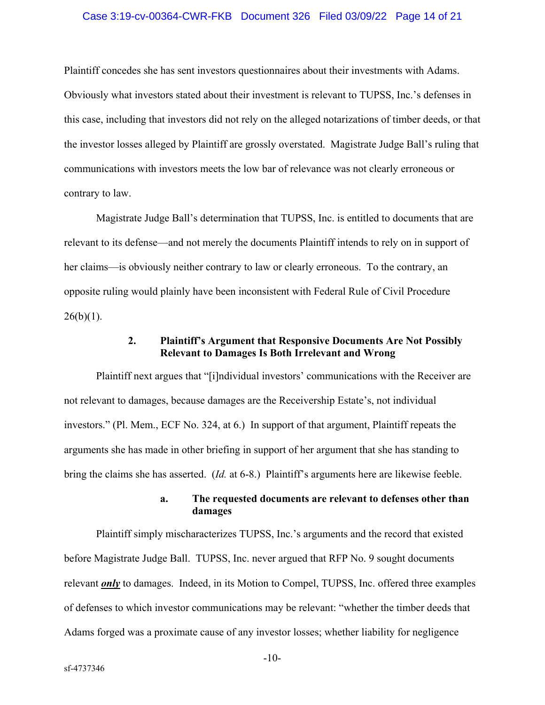#### Case 3:19-cv-00364-CWR-FKB Document 326 Filed 03/09/22 Page 14 of 21

Plaintiff concedes she has sent investors questionnaires about their investments with Adams. Obviously what investors stated about their investment is relevant to TUPSS, Inc.'s defenses in this case, including that investors did not rely on the alleged notarizations of timber deeds, or that the investor losses alleged by Plaintiff are grossly overstated. Magistrate Judge Ball's ruling that communications with investors meets the low bar of relevance was not clearly erroneous or contrary to law.

Magistrate Judge Ball's determination that TUPSS, Inc. is entitled to documents that are relevant to its defense—and not merely the documents Plaintiff intends to rely on in support of her claims—is obviously neither contrary to law or clearly erroneous. To the contrary, an opposite ruling would plainly have been inconsistent with Federal Rule of Civil Procedure  $26(b)(1)$ .

### **2. Plaintiff's Argument that Responsive Documents Are Not Possibly Relevant to Damages Is Both Irrelevant and Wrong**

Plaintiff next argues that "[i]ndividual investors' communications with the Receiver are not relevant to damages, because damages are the Receivership Estate's, not individual investors." (Pl. Mem., ECF No. 324, at 6.) In support of that argument, Plaintiff repeats the arguments she has made in other briefing in support of her argument that she has standing to bring the claims she has asserted. (*Id.* at 6-8.) Plaintiff's arguments here are likewise feeble.

## **a. The requested documents are relevant to defenses other than damages**

Plaintiff simply mischaracterizes TUPSS, Inc.'s arguments and the record that existed before Magistrate Judge Ball. TUPSS, Inc. never argued that RFP No. 9 sought documents relevant *only* to damages. Indeed, in its Motion to Compel, TUPSS, Inc. offered three examples of defenses to which investor communications may be relevant: "whether the timber deeds that Adams forged was a proximate cause of any investor losses; whether liability for negligence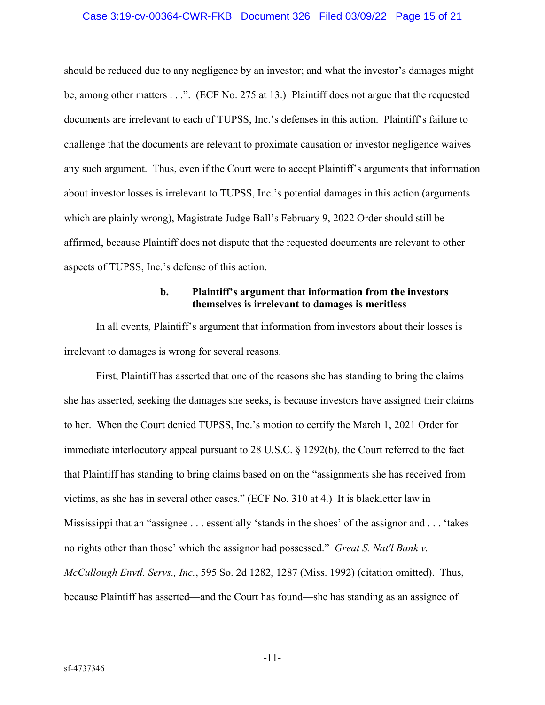#### Case 3:19-cv-00364-CWR-FKB Document 326 Filed 03/09/22 Page 15 of 21

should be reduced due to any negligence by an investor; and what the investor's damages might be, among other matters . . .". (ECF No. 275 at 13.) Plaintiff does not argue that the requested documents are irrelevant to each of TUPSS, Inc.'s defenses in this action. Plaintiff's failure to challenge that the documents are relevant to proximate causation or investor negligence waives any such argument. Thus, even if the Court were to accept Plaintiff's arguments that information about investor losses is irrelevant to TUPSS, Inc.'s potential damages in this action (arguments which are plainly wrong), Magistrate Judge Ball's February 9, 2022 Order should still be affirmed, because Plaintiff does not dispute that the requested documents are relevant to other aspects of TUPSS, Inc.'s defense of this action.

### **b. Plaintiff's argument that information from the investors themselves is irrelevant to damages is meritless**

In all events, Plaintiff's argument that information from investors about their losses is irrelevant to damages is wrong for several reasons.

First, Plaintiff has asserted that one of the reasons she has standing to bring the claims she has asserted, seeking the damages she seeks, is because investors have assigned their claims to her. When the Court denied TUPSS, Inc.'s motion to certify the March 1, 2021 Order for immediate interlocutory appeal pursuant to 28 U.S.C. § 1292(b), the Court referred to the fact that Plaintiff has standing to bring claims based on on the "assignments she has received from victims, as she has in several other cases." (ECF No. 310 at 4.) It is blackletter law in Mississippi that an "assignee . . . essentially 'stands in the shoes' of the assignor and . . . 'takes no rights other than those' which the assignor had possessed." *Great S. Nat'l Bank v. McCullough Envtl. Servs., Inc.*, 595 So. 2d 1282, 1287 (Miss. 1992) (citation omitted). Thus, because Plaintiff has asserted—and the Court has found—she has standing as an assignee of

-11-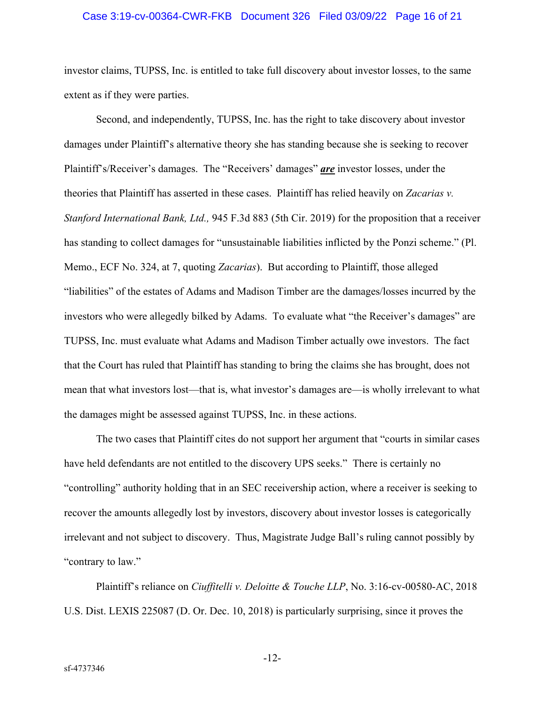#### Case 3:19-cv-00364-CWR-FKB Document 326 Filed 03/09/22 Page 16 of 21

investor claims, TUPSS, Inc. is entitled to take full discovery about investor losses, to the same extent as if they were parties.

Second, and independently, TUPSS, Inc. has the right to take discovery about investor damages under Plaintiff's alternative theory she has standing because she is seeking to recover Plaintiff's/Receiver's damages. The "Receivers' damages" *are* investor losses, under the theories that Plaintiff has asserted in these cases. Plaintiff has relied heavily on *Zacarias v. Stanford International Bank, Ltd.,* 945 F.3d 883 (5th Cir. 2019) for the proposition that a receiver has standing to collect damages for "unsustainable liabilities inflicted by the Ponzi scheme." (Pl. Memo., ECF No. 324, at 7, quoting *Zacarias*). But according to Plaintiff, those alleged "liabilities" of the estates of Adams and Madison Timber are the damages/losses incurred by the investors who were allegedly bilked by Adams. To evaluate what "the Receiver's damages" are TUPSS, Inc. must evaluate what Adams and Madison Timber actually owe investors. The fact that the Court has ruled that Plaintiff has standing to bring the claims she has brought, does not mean that what investors lost—that is, what investor's damages are—is wholly irrelevant to what the damages might be assessed against TUPSS, Inc. in these actions.

The two cases that Plaintiff cites do not support her argument that "courts in similar cases have held defendants are not entitled to the discovery UPS seeks." There is certainly no "controlling" authority holding that in an SEC receivership action, where a receiver is seeking to recover the amounts allegedly lost by investors, discovery about investor losses is categorically irrelevant and not subject to discovery. Thus, Magistrate Judge Ball's ruling cannot possibly by "contrary to law."

Plaintiff's reliance on *Ciuffitelli v. Deloitte & Touche LLP*, No. 3:16-cv-00580-AC, 2018 U.S. Dist. LEXIS 225087 (D. Or. Dec. 10, 2018) is particularly surprising, since it proves the

-12-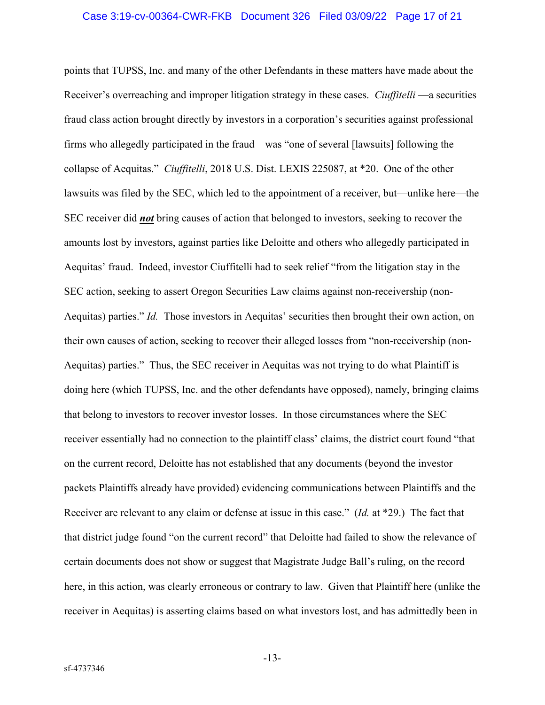#### Case 3:19-cv-00364-CWR-FKB Document 326 Filed 03/09/22 Page 17 of 21

points that TUPSS, Inc. and many of the other Defendants in these matters have made about the Receiver's overreaching and improper litigation strategy in these cases. *Ciuffitelli* —a securities fraud class action brought directly by investors in a corporation's securities against professional firms who allegedly participated in the fraud—was "one of several [lawsuits] following the collapse of Aequitas." *Ciuffitelli*, 2018 U.S. Dist. LEXIS 225087, at \*20. One of the other lawsuits was filed by the SEC, which led to the appointment of a receiver, but—unlike here—the SEC receiver did *not* bring causes of action that belonged to investors, seeking to recover the amounts lost by investors, against parties like Deloitte and others who allegedly participated in Aequitas' fraud. Indeed, investor Ciuffitelli had to seek relief "from the litigation stay in the SEC action, seeking to assert Oregon Securities Law claims against non-receivership (non-Aequitas) parties." *Id.* Those investors in Aequitas' securities then brought their own action, on their own causes of action, seeking to recover their alleged losses from "non-receivership (non-Aequitas) parties." Thus, the SEC receiver in Aequitas was not trying to do what Plaintiff is doing here (which TUPSS, Inc. and the other defendants have opposed), namely, bringing claims that belong to investors to recover investor losses. In those circumstances where the SEC receiver essentially had no connection to the plaintiff class' claims, the district court found "that on the current record, Deloitte has not established that any documents (beyond the investor packets Plaintiffs already have provided) evidencing communications between Plaintiffs and the Receiver are relevant to any claim or defense at issue in this case." (*Id.* at \*29.) The fact that that district judge found "on the current record" that Deloitte had failed to show the relevance of certain documents does not show or suggest that Magistrate Judge Ball's ruling, on the record here, in this action, was clearly erroneous or contrary to law. Given that Plaintiff here (unlike the receiver in Aequitas) is asserting claims based on what investors lost, and has admittedly been in

-13-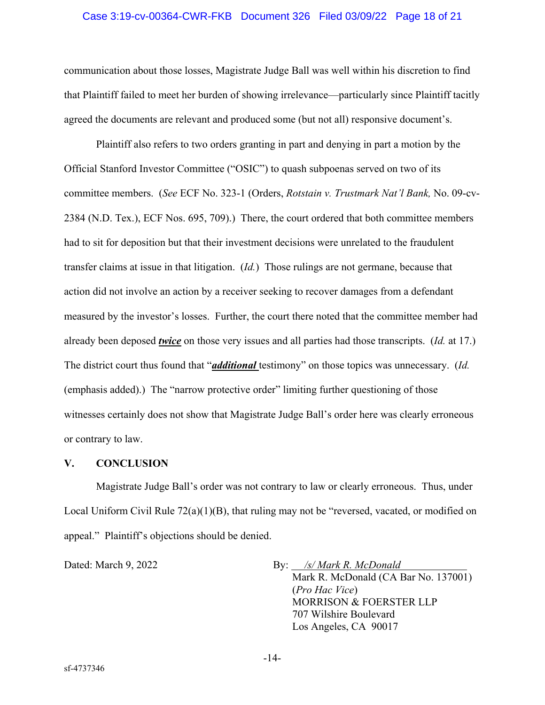#### Case 3:19-cv-00364-CWR-FKB Document 326 Filed 03/09/22 Page 18 of 21

communication about those losses, Magistrate Judge Ball was well within his discretion to find that Plaintiff failed to meet her burden of showing irrelevance—particularly since Plaintiff tacitly agreed the documents are relevant and produced some (but not all) responsive document's.

 Plaintiff also refers to two orders granting in part and denying in part a motion by the Official Stanford Investor Committee ("OSIC") to quash subpoenas served on two of its committee members. (*See* ECF No. 323-1 (Orders, *Rotstain v. Trustmark Nat'l Bank,* No. 09-cv-2384 (N.D. Tex.), ECF Nos. 695, 709).) There, the court ordered that both committee members had to sit for deposition but that their investment decisions were unrelated to the fraudulent transfer claims at issue in that litigation. (*Id.*) Those rulings are not germane, because that action did not involve an action by a receiver seeking to recover damages from a defendant measured by the investor's losses. Further, the court there noted that the committee member had already been deposed *twice* on those very issues and all parties had those transcripts. (*Id.* at 17.) The district court thus found that "*additional* testimony" on those topics was unnecessary. (*Id.* (emphasis added).) The "narrow protective order" limiting further questioning of those witnesses certainly does not show that Magistrate Judge Ball's order here was clearly erroneous or contrary to law.

#### **V. CONCLUSION**

Magistrate Judge Ball's order was not contrary to law or clearly erroneous. Thus, under Local Uniform Civil Rule 72(a)(1)(B), that ruling may not be "reversed, vacated, or modified on appeal." Plaintiff's objections should be denied.

Dated: March 9, 2022 By: */s/ Mark R. McDonald* 

Mark R. McDonald (CA Bar No. 137001) (*Pro Hac Vice*) MORRISON & FOERSTER LLP 707 Wilshire Boulevard Los Angeles, CA 90017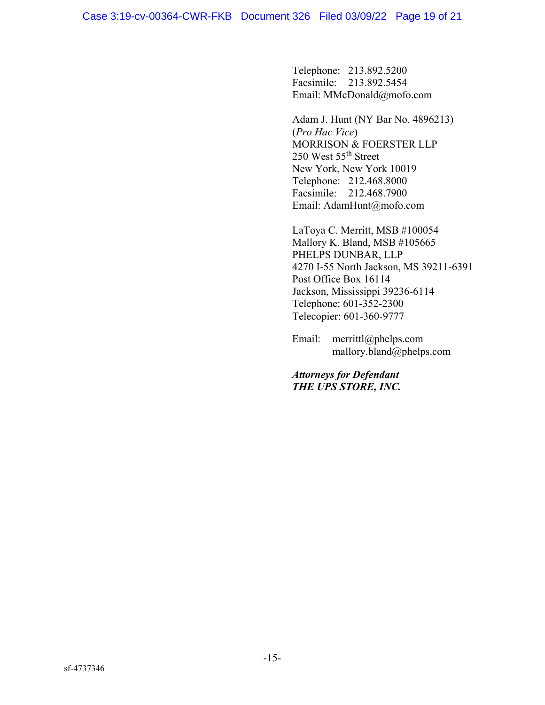Telephone: 213.892.5200 Facsimile: 213.892.5454 Email: MMcDonald@mofo.com

Adam J. Hunt (NY Bar No. 4896213) (*Pro Hac Vice*) MORRISON & FOERSTER LLP 250 West 55th Street New York, New York 10019 Telephone: 212.468.8000 Facsimile: 212.468.7900 Email: AdamHunt@mofo.com

LaToya C. Merritt, MSB #100054 Mallory K. Bland, MSB #105665 PHELPS DUNBAR, LLP 4270 I-55 North Jackson, MS 39211-6391 Post Office Box 16114 Jackson, Mississippi 39236-6114 Telephone: 601-352-2300 Telecopier: 601-360-9777

Email: merrittl@phelps.com mallory.bland@phelps.com

*Attorneys for Defendant THE UPS STORE, INC.*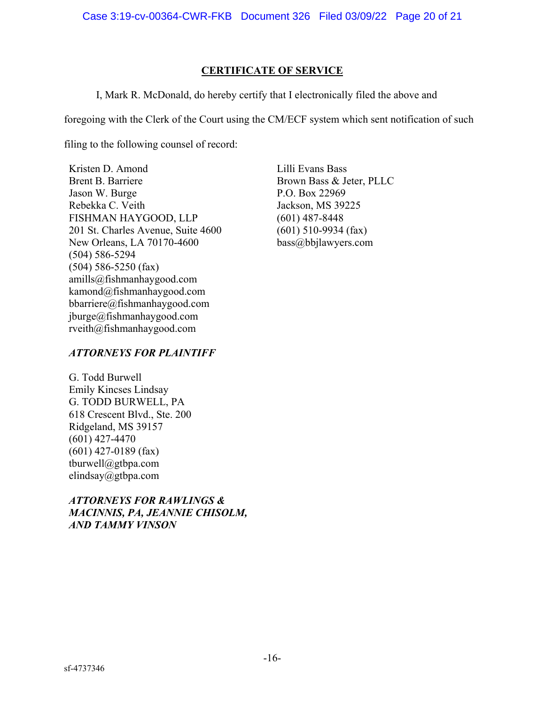## **CERTIFICATE OF SERVICE**

I, Mark R. McDonald, do hereby certify that I electronically filed the above and

foregoing with the Clerk of the Court using the CM/ECF system which sent notification of such

filing to the following counsel of record:

Kristen D. Amond Brent B. Barriere Jason W. Burge Rebekka C. Veith FISHMAN HAYGOOD, LLP 201 St. Charles Avenue, Suite 4600 New Orleans, LA 70170-4600 (504) 586-5294 (504) 586-5250 (fax) amills@fishmanhaygood.com kamond@fishmanhaygood.com bbarriere@fishmanhaygood.com jburge@fishmanhaygood.com rveith@fishmanhaygood.com

Lilli Evans Bass Brown Bass & Jeter, PLLC P.O. Box 22969 Jackson, MS 39225 (601) 487-8448 (601) 510-9934 (fax) bass@bbjlawyers.com

# *ATTORNEYS FOR PLAINTIFF*

G. Todd Burwell Emily Kincses Lindsay G. TODD BURWELL, PA 618 Crescent Blvd., Ste. 200 Ridgeland, MS 39157 (601) 427-4470 (601) 427-0189 (fax) tburwell@gtbpa.com elindsay@gtbpa.com

# *ATTORNEYS FOR RAWLINGS & MACINNIS, PA, JEANNIE CHISOLM, AND TAMMY VINSON*